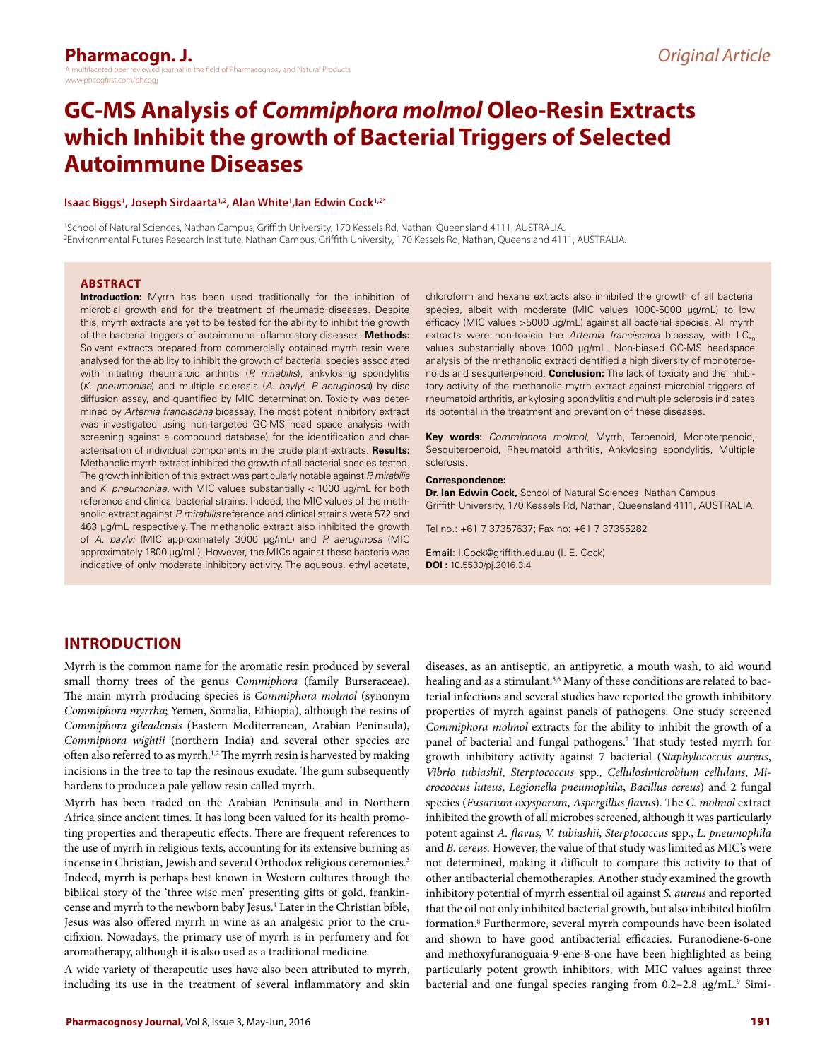# **GC-MS Analysis of** *Commiphora molmol* **Oleo-Resin Extracts which Inhibit the growth of Bacterial Triggers of Selected Autoimmune Diseases**

#### **Isaac Biggs1 , Joseph Sirdaarta1,2, Alan White1 ,Ian Edwin Cock1,2\***

1 School of Natural Sciences, Nathan Campus, Griffith University, 170 Kessels Rd, Nathan, Queensland 4111, AUSTRALIA. 2 Environmental Futures Research Institute, Nathan Campus, Griffith University, 170 Kessels Rd, Nathan, Queensland 4111, AUSTRALIA.

#### **ABSTRACT**

**Introduction:** Myrrh has been used traditionally for the inhibition of microbial growth and for the treatment of rheumatic diseases. Despite this, myrrh extracts are yet to be tested for the ability to inhibit the growth of the bacterial triggers of autoimmune inflammatory diseases. **Methods:**  Solvent extracts prepared from commercially obtained myrrh resin were analysed for the ability to inhibit the growth of bacterial species associated with initiating rheumatoid arthritis (*P. mirabilis*), ankylosing spondylitis (*K. pneumoniae*) and multiple sclerosis (*A. baylyi*, *P. aeruginosa*) by disc diffusion assay, and quantified by MIC determination. Toxicity was determined by *Artemia franciscana* bioassay. The most potent inhibitory extract was investigated using non-targeted GC-MS head space analysis (with screening against a compound database) for the identification and characterisation of individual components in the crude plant extracts. **Results:**  Methanolic myrrh extract inhibited the growth of all bacterial species tested. The growth inhibition of this extract was particularly notable against *P. mirabilis* and *K. pneumoniae*, with MIC values substantially < 1000 µg/mL for both reference and clinical bacterial strains. Indeed, the MIC values of the methanolic extract against *P. mirabilis* reference and clinical strains were 572 and 463 µg/mL respectively. The methanolic extract also inhibited the growth of *A. baylyi* (MIC approximately 3000 µg/mL) and *P. aeruginosa* (MIC approximately 1800 µg/mL). However, the MICs against these bacteria was indicative of only moderate inhibitory activity. The aqueous, ethyl acetate,

chloroform and hexane extracts also inhibited the growth of all bacterial species, albeit with moderate (MIC values 1000-5000 µg/mL) to low efficacy (MIC values >5000 µg/mL) against all bacterial species. All myrrh extracts were non-toxicin the *Artemia franciscana* bioassay, with LC<sub>50</sub> values substantially above 1000 µg/mL. Non-biased GC-MS headspace analysis of the methanolic extracti dentified a high diversity of monoterpenoids and sesquiterpenoid. **Conclusion:** The lack of toxicity and the inhibitory activity of the methanolic myrrh extract against microbial triggers of rheumatoid arthritis, ankylosing spondylitis and multiple sclerosis indicates its potential in the treatment and prevention of these diseases.

**Key words:** *Commiphora molmol*, Myrrh, Terpenoid, Monoterpenoid, Sesquiterpenoid, Rheumatoid arthritis, Ankylosing spondylitis, Multiple sclerosis.

#### **Correspondence:**

**Dr. Ian Edwin Cock,** School of Natural Sciences, Nathan Campus, Griffith University, 170 Kessels Rd, Nathan, Queensland 4111, AUSTRALIA.

Tel no.: +61 7 37357637; Fax no: +61 7 37355282

Email: [I.Cock@griffith.edu.au](mailto:I.Cock@griffith.edu.au) (I. E. Cock) **DOI :** 10.5530/pj.2016.3.4

## **INTRODUCTION**

Myrrh is the common name for the aromatic resin produced by several small thorny trees of the genus *Commiphora* (family Burseraceae). The main myrrh producing species is *Commiphora molmol* (synonym *Commiphora myrrha*; Yemen, Somalia, Ethiopia), although the resins of *Commiphora gileadensis* (Eastern Mediterranean, Arabian Peninsula), *Commiphora wightii* (northern India) and several other species are often also referred to as myrrh.<sup>1,2</sup> The myrrh resin is harvested by making incisions in the tree to tap the resinous exudate. The gum subsequently hardens to produce a pale yellow resin called myrrh.

Myrrh has been traded on the Arabian Peninsula and in Northern Africa since ancient times. It has long been valued for its health promoting properties and therapeutic effects. There are frequent references to the use of myrrh in religious texts, accounting for its extensive burning as incense in Christian, Jewish and several Orthodox religious ceremonies.<sup>3</sup> Indeed, myrrh is perhaps best known in Western cultures through the biblical story of the 'three wise men' presenting gifts of gold, frankincense and myrrh to the newborn baby Jesus.4 Later in the Christian bible, Jesus was also offered myrrh in wine as an analgesic prior to the crucifixion. Nowadays, the primary use of myrrh is in perfumery and for aromatherapy, although it is also used as a traditional medicine.

A wide variety of therapeutic uses have also been attributed to myrrh, including its use in the treatment of several inflammatory and skin diseases, as an antiseptic, an antipyretic, a mouth wash, to aid wound healing and as a stimulant.<sup>5,6</sup> Many of these conditions are related to bacterial infections and several studies have reported the growth inhibitory properties of myrrh against panels of pathogens. One study screened *Commiphora molmol* extracts for the ability to inhibit the growth of a panel of bacterial and fungal pathogens.7 That study tested myrrh for growth inhibitory activity against 7 bacterial (*Staphylococcus aureus*, *Vibrio tubiashii*, *Sterptococcus* spp., *Cellulosimicrobium cellulans*, *Micrococcus luteus*, *Legionella pneumophila*, *Bacillus cereus*) and 2 fungal species (*Fusarium oxysporum*, *Aspergillus flavus*). The *C. molmol* extract inhibited the growth of all microbes screened, although it was particularly potent against *A. flavus, V. tubiashii*, *Sterptococcus* spp., *L. pneumophila* and *B. cereus.* However, the value of that study was limited as MIC's were not determined, making it difficult to compare this activity to that of other antibacterial chemotherapies. Another study examined the growth inhibitory potential of myrrh essential oil against *S. aureus* and reported that the oil not only inhibited bacterial growth, but also inhibited biofilm formation.8 Furthermore, several myrrh compounds have been isolated and shown to have good antibacterial efficacies. Furanodiene-6-one and methoxyfuranoguaia-9-ene-8-one have been highlighted as being particularly potent growth inhibitors, with MIC values against three bacterial and one fungal species ranging from 0.2-2.8 µg/mL.<sup>9</sup> Simi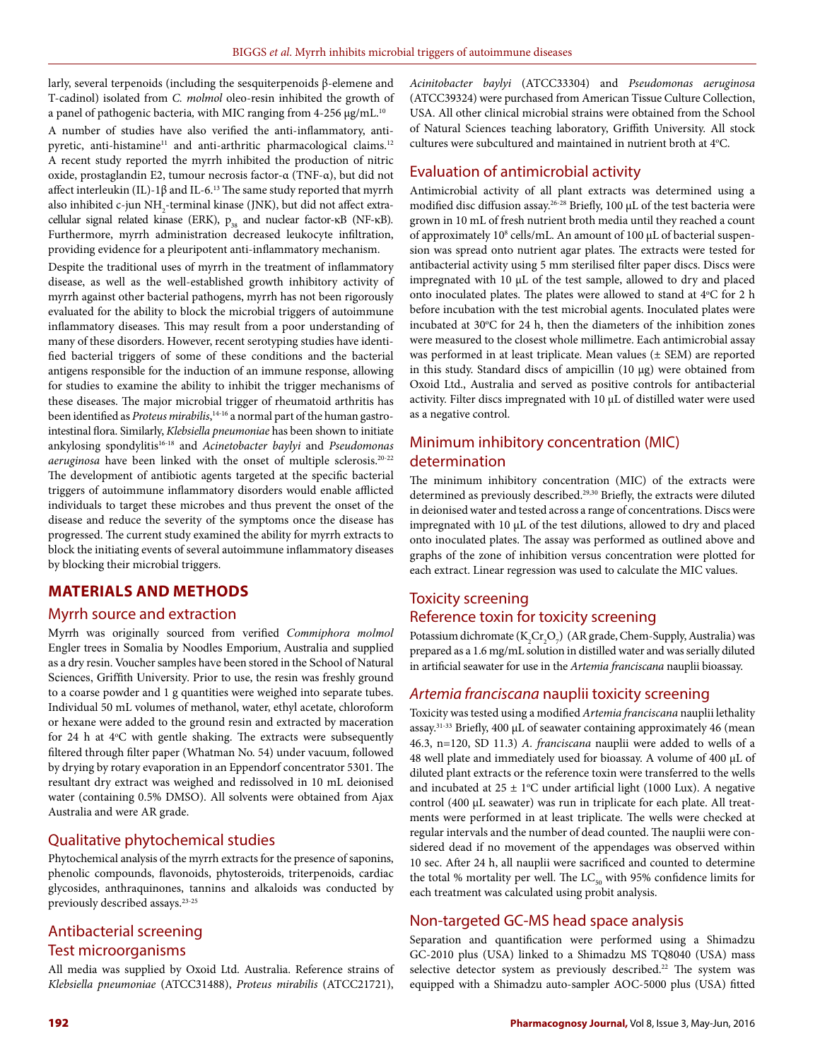larly, several terpenoids (including the sesquiterpenoids β-elemene and T-cadinol) isolated from *C. molmol* oleo-resin inhibited the growth of a panel of pathogenic bacteria, with MIC ranging from 4-256 µg/mL.<sup>10</sup> A number of studies have also verified the anti-inflammatory, antipyretic, anti-histamine<sup>11</sup> and anti-arthritic pharmacological claims.<sup>12</sup> A recent study reported the myrrh inhibited the production of nitric oxide, prostaglandin E2, tumour necrosis factor-α (TNF-α), but did not affect interleukin (IL)-1β and IL-6.<sup>13</sup> The same study reported that myrrh also inhibited c-jun  $\mathrm{NH}_2$ -terminal kinase (JNK), but did not affect extracellular signal related kinase (ERK), p<sub>38</sub> and nuclear factor-κB (NF-κB). Furthermore, myrrh administration decreased leukocyte infiltration, providing evidence for a pleuripotent anti-inflammatory mechanism.

Despite the traditional uses of myrrh in the treatment of inflammatory disease, as well as the well-established growth inhibitory activity of myrrh against other bacterial pathogens, myrrh has not been rigorously evaluated for the ability to block the microbial triggers of autoimmune inflammatory diseases. This may result from a poor understanding of many of these disorders. However, recent serotyping studies have identified bacterial triggers of some of these conditions and the bacterial antigens responsible for the induction of an immune response, allowing for studies to examine the ability to inhibit the trigger mechanisms of these diseases. The major microbial trigger of rheumatoid arthritis has been identified as *Proteus mirabilis*, 14-16 a normal part of the human gastrointestinal flora. Similarly, *Klebsiella pneumoniae* has been shown to initiate ankylosing spondylitis16-18 and *Acinetobacter baylyi* and *Pseudomonas aeruginosa* have been linked with the onset of multiple sclerosis.20-22 The development of antibiotic agents targeted at the specific bacterial triggers of autoimmune inflammatory disorders would enable afflicted individuals to target these microbes and thus prevent the onset of the disease and reduce the severity of the symptoms once the disease has progressed. The current study examined the ability for myrrh extracts to block the initiating events of several autoimmune inflammatory diseases by blocking their microbial triggers.

## **MATERIALS AND METHODS**

## Myrrh source and extraction

Myrrh was originally sourced from verified *Commiphora molmol*  Engler trees in Somalia by Noodles Emporium, Australia and supplied as a dry resin. Voucher samples have been stored in the School of Natural Sciences, Griffith University. Prior to use, the resin was freshly ground to a coarse powder and 1 g quantities were weighed into separate tubes. Individual 50 mL volumes of methanol, water, ethyl acetate, chloroform or hexane were added to the ground resin and extracted by maceration for 24 h at 4°C with gentle shaking. The extracts were subsequently filtered through filter paper (Whatman No. 54) under vacuum, followed by drying by rotary evaporation in an Eppendorf concentrator 5301. The resultant dry extract was weighed and redissolved in 10 mL deionised water (containing 0.5% DMSO). All solvents were obtained from Ajax Australia and were AR grade.

#### Qualitative phytochemical studies

Phytochemical analysis of the myrrh extracts for the presence of saponins, phenolic compounds, flavonoids, phytosteroids, triterpenoids, cardiac glycosides, anthraquinones, tannins and alkaloids was conducted by previously described assays.23-25

# Antibacterial screening Test microorganisms

All media was supplied by Oxoid Ltd. Australia. Reference strains of *Klebsiella pneumoniae* (ATCC31488), *Proteus mirabilis* (ATCC21721),

*Acinitobacter baylyi* (ATCC33304) and *Pseudomonas aeruginosa* (ATCC39324) were purchased from American Tissue Culture Collection, USA. All other clinical microbial strains were obtained from the School of Natural Sciences teaching laboratory, Griffith University. All stock cultures were subcultured and maintained in nutrient broth at 4°C.

#### Evaluation of antimicrobial activity

Antimicrobial activity of all plant extracts was determined using a modified disc diffusion assay.<sup>26-28</sup> Briefly, 100 µL of the test bacteria were grown in 10 mL of fresh nutrient broth media until they reached a count of approximately 10<sup>8</sup> cells/mL. An amount of 100 µL of bacterial suspension was spread onto nutrient agar plates. The extracts were tested for antibacterial activity using 5 mm sterilised filter paper discs. Discs were impregnated with 10 µL of the test sample, allowed to dry and placed onto inoculated plates. The plates were allowed to stand at  $4^{\circ}$ C for 2 h before incubation with the test microbial agents. Inoculated plates were incubated at 30°C for 24 h, then the diameters of the inhibition zones were measured to the closest whole millimetre. Each antimicrobial assay was performed in at least triplicate. Mean values (± SEM) are reported in this study. Standard discs of ampicillin (10 µg) were obtained from Oxoid Ltd., Australia and served as positive controls for antibacterial activity. Filter discs impregnated with 10 µL of distilled water were used as a negative control.

# Minimum inhibitory concentration (MIC) determination

The minimum inhibitory concentration (MIC) of the extracts were determined as previously described.<sup>29,30</sup> Briefly, the extracts were diluted in deionised water and tested across a range of concentrations. Discs were impregnated with 10 µL of the test dilutions, allowed to dry and placed onto inoculated plates. The assay was performed as outlined above and graphs of the zone of inhibition versus concentration were plotted for each extract. Linear regression was used to calculate the MIC values.

# Toxicity screening Reference toxin for toxicity screening

Potassium dichromate ( $K_2$ Cr<sub>2</sub>O<sub>7</sub>) (AR grade, Chem-Supply, Australia) was prepared as a 1.6 mg/mL solution in distilled water and was serially diluted in artificial seawater for use in the *Artemia franciscana* nauplii bioassay.

#### *Artemia franciscana* nauplii toxicity screening

Toxicity was tested using a modified *Artemia franciscana* nauplii lethality assay.<sup>31-33</sup> Briefly, 400 µL of seawater containing approximately 46 (mean 46.3, n=120, SD 11.3) *A. franciscana* nauplii were added to wells of a 48 well plate and immediately used for bioassay. A volume of 400 µL of diluted plant extracts or the reference toxin were transferred to the wells and incubated at  $25 \pm 1$ °C under artificial light (1000 Lux). A negative control (400 µL seawater) was run in triplicate for each plate. All treatments were performed in at least triplicate. The wells were checked at regular intervals and the number of dead counted. The nauplii were considered dead if no movement of the appendages was observed within 10 sec. After 24 h, all nauplii were sacrificed and counted to determine the total % mortality per well. The  $LC_{50}$  with 95% confidence limits for each treatment was calculated using probit analysis.

#### Non-targeted GC-MS head space analysis

Separation and quantification were performed using a Shimadzu GC-2010 plus (USA) linked to a Shimadzu MS TQ8040 (USA) mass selective detector system as previously described.<sup>22</sup> The system was equipped with a Shimadzu auto-sampler AOC-5000 plus (USA) fitted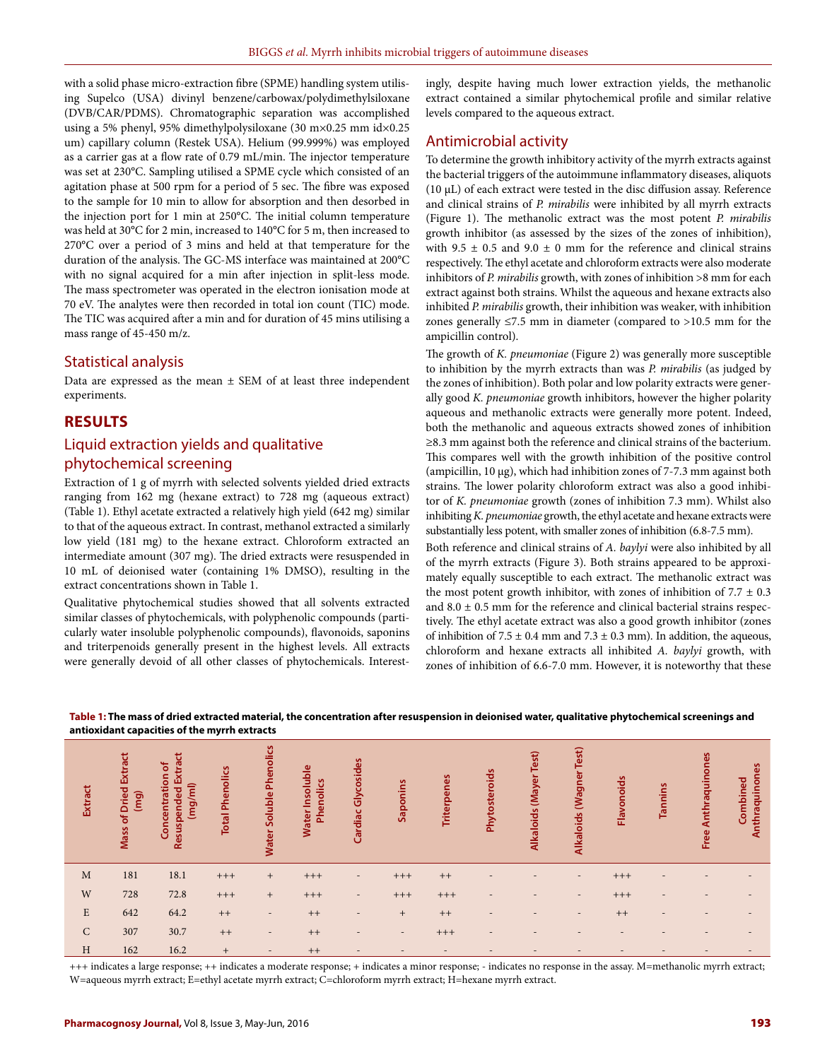with a solid phase micro-extraction fibre (SPME) handling system utilising Supelco (USA) divinyl benzene/carbowax/polydimethylsiloxane (DVB/CAR/PDMS). Chromatographic separation was accomplished using a 5% phenyl, 95% dimethylpolysiloxane (30 m×0.25 mm id×0.25 um) capillary column (Restek USA). Helium (99.999%) was employed as a carrier gas at a flow rate of 0.79 mL/min. The injector temperature was set at 230°C. Sampling utilised a SPME cycle which consisted of an agitation phase at 500 rpm for a period of 5 sec. The fibre was exposed to the sample for 10 min to allow for absorption and then desorbed in the injection port for 1 min at 250°C. The initial column temperature was held at 30°C for 2 min, increased to 140°C for 5 m, then increased to 270°C over a period of 3 mins and held at that temperature for the duration of the analysis. The GC-MS interface was maintained at 200°C with no signal acquired for a min after injection in split-less mode. The mass spectrometer was operated in the electron ionisation mode at 70 eV. The analytes were then recorded in total ion count (TIC) mode. The TIC was acquired after a min and for duration of 45 mins utilising a mass range of 45-450 m/z.

#### Statistical analysis

Data are expressed as the mean  $\pm$  SEM of at least three independent experiments.

#### **RESULTS**

## Liquid extraction yields and qualitative phytochemical screening

Extraction of 1 g of myrrh with selected solvents yielded dried extracts ranging from 162 mg (hexane extract) to 728 mg (aqueous extract) (Table 1). Ethyl acetate extracted a relatively high yield (642 mg) similar to that of the aqueous extract. In contrast, methanol extracted a similarly low yield (181 mg) to the hexane extract. Chloroform extracted an intermediate amount (307 mg). The dried extracts were resuspended in 10 mL of deionised water (containing 1% DMSO), resulting in the extract concentrations shown in Table 1.

Qualitative phytochemical studies showed that all solvents extracted similar classes of phytochemicals, with polyphenolic compounds (particularly water insoluble polyphenolic compounds), flavonoids, saponins and triterpenoids generally present in the highest levels. All extracts were generally devoid of all other classes of phytochemicals. Interest-

ingly, despite having much lower extraction yields, the methanolic extract contained a similar phytochemical profile and similar relative levels compared to the aqueous extract.

#### Antimicrobial activity

To determine the growth inhibitory activity of the myrrh extracts against the bacterial triggers of the autoimmune inflammatory diseases, aliquots (10 µL) of each extract were tested in the disc diffusion assay. Reference and clinical strains of *P. mirabilis* were inhibited by all myrrh extracts (Figure 1). The methanolic extract was the most potent *P. mirabilis*  growth inhibitor (as assessed by the sizes of the zones of inhibition), with 9.5  $\pm$  0.5 and 9.0  $\pm$  0 mm for the reference and clinical strains respectively. The ethyl acetate and chloroform extracts were also moderate inhibitors of *P. mirabilis* growth, with zones of inhibition >8 mm for each extract against both strains. Whilst the aqueous and hexane extracts also inhibited *P. mirabilis* growth, their inhibition was weaker, with inhibition zones generally ≤7.5 mm in diameter (compared to >10.5 mm for the ampicillin control).

The growth of *K. pneumoniae* (Figure 2) was generally more susceptible to inhibition by the myrrh extracts than was *P. mirabilis* (as judged by the zones of inhibition). Both polar and low polarity extracts were generally good *K. pneumoniae* growth inhibitors, however the higher polarity aqueous and methanolic extracts were generally more potent. Indeed, both the methanolic and aqueous extracts showed zones of inhibition ≥8.3 mm against both the reference and clinical strains of the bacterium. This compares well with the growth inhibition of the positive control (ampicillin, 10 µg), which had inhibition zones of 7-7.3 mm against both strains. The lower polarity chloroform extract was also a good inhibitor of *K. pneumoniae* growth (zones of inhibition 7.3 mm). Whilst also inhibiting *K. pneumoniae* growth, the ethyl acetate and hexane extracts were substantially less potent, with smaller zones of inhibition (6.8-7.5 mm).

Both reference and clinical strains of *A. baylyi* were also inhibited by all of the myrrh extracts (Figure 3). Both strains appeared to be approximately equally susceptible to each extract. The methanolic extract was the most potent growth inhibitor, with zones of inhibition of  $7.7 \pm 0.3$ and  $8.0 \pm 0.5$  mm for the reference and clinical bacterial strains respectively. The ethyl acetate extract was also a good growth inhibitor (zones of inhibition of  $7.5 \pm 0.4$  mm and  $7.3 \pm 0.3$  mm). In addition, the aqueous, chloroform and hexane extracts all inhibited *A. baylyi* growth, with zones of inhibition of 6.6-7.0 mm. However, it is noteworthy that these

|                |                                                            | and oxidant capacities of the myrril extracts      |                        |                          |                              |                          |                          |                          |                          |                          |                          |                          |                          |                          |                            |
|----------------|------------------------------------------------------------|----------------------------------------------------|------------------------|--------------------------|------------------------------|--------------------------|--------------------------|--------------------------|--------------------------|--------------------------|--------------------------|--------------------------|--------------------------|--------------------------|----------------------------|
| <b>Extract</b> | <b>Dried Extract</b><br>$\overline{\mathbf{g}}$<br>Mass of | Resuspended Extract<br>Concentration of<br>(mg/ml) | <b>Total Phenolics</b> | Water Soluble Phenolics  | Water Insoluble<br>Phenolics | Cardiac Glycosides       | Saponins                 | Triterpenes              | Phytosteroids            | Alkaloids (Mayer Test)   | Alkaloids (Wagner Test)  | Flavonoids               | Tannins                  | Anthraquinones<br>Free   | Anthraquinones<br>Combined |
| M              | 181                                                        | 18.1                                               | $^{+++}$               | $^{+}$                   | $+++$                        | $\overline{\phantom{a}}$ | $+++$                    | $++$                     | $\overline{\phantom{a}}$ |                          | $\overline{\phantom{a}}$ | $+++$                    | ٠                        |                          |                            |
| W              | 728                                                        | 72.8                                               | $+++$                  | $^{+}$                   | $+++$                        | $\overline{\phantom{a}}$ | $+++$                    | $+++$                    | $\overline{\phantom{a}}$ | -                        | $\overline{\phantom{a}}$ | $+++$                    | $\overline{\phantom{a}}$ | $\qquad \qquad$          |                            |
| $\mathbf E$    | 642                                                        | 64.2                                               | $++$                   | $\overline{\phantom{a}}$ | $++$                         | $\overline{\phantom{a}}$ | $+$                      | $++$                     | $\overline{\phantom{0}}$ | -                        | $\overline{\phantom{a}}$ | $++$                     | $\overline{\phantom{a}}$ | $\overline{\phantom{m}}$ |                            |
| $\mathsf{C}$   | 307                                                        | 30.7                                               | $++$                   | $\overline{\phantom{a}}$ | $++$                         | $\overline{\phantom{a}}$ | $\sim$                   | $+++$                    | $\overline{\phantom{a}}$ | $\overline{\phantom{0}}$ |                          |                          |                          |                          |                            |
| H              | 162                                                        | 16.2                                               | $+$                    | $\overline{\phantom{a}}$ | $++$                         | $\overline{\phantom{a}}$ | $\overline{\phantom{a}}$ | $\overline{\phantom{a}}$ | $\overline{\phantom{a}}$ | $\overline{\phantom{a}}$ | $\overline{\phantom{a}}$ | $\overline{\phantom{a}}$ | $\overline{\phantom{a}}$ | $\overline{\phantom{a}}$ |                            |

**Table 1: The mass of dried extracted material, the concentration after resuspension in deionised water, qualitative phytochemical screenings and antioxidant capacities of the myrrh extracts**

+++ indicates a large response; ++ indicates a moderate response; + indicates a minor response; - indicates no response in the assay. M=methanolic myrrh extract; W=aqueous myrrh extract; E=ethyl acetate myrrh extract; C=chloroform myrrh extract; H=hexane myrrh extract.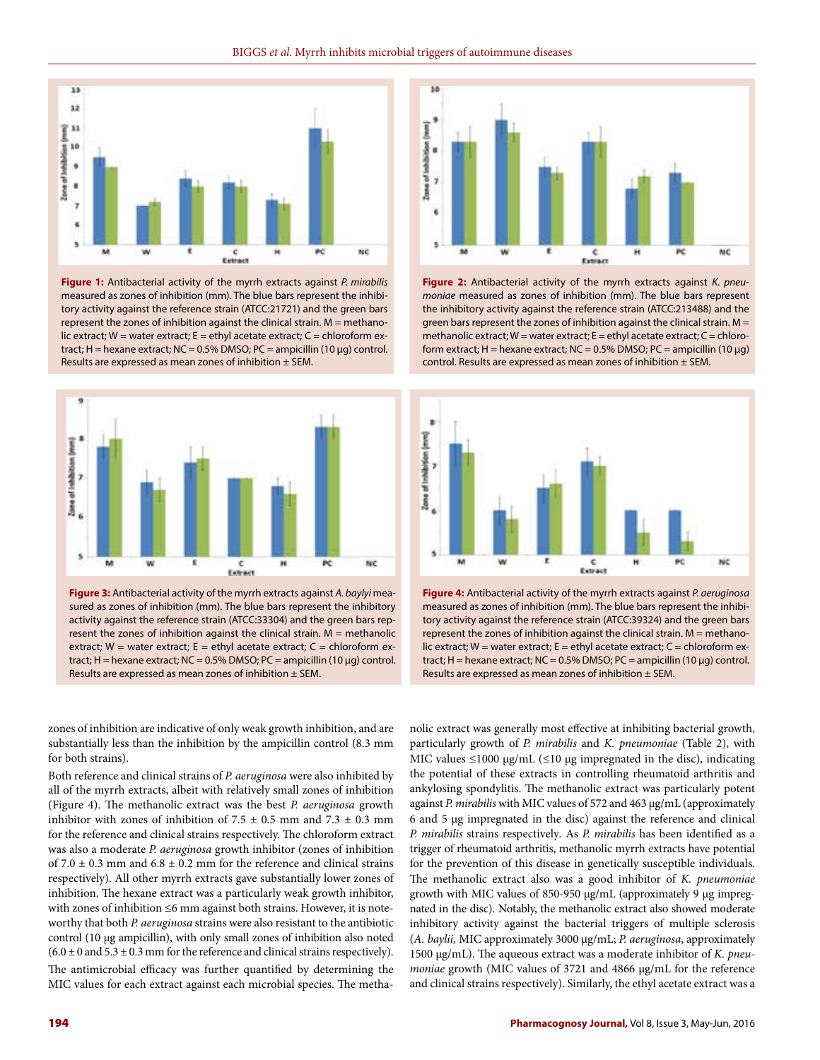

**Figure 1:** Antibacterial activity of the myrrh extracts against *P. mirabilis*  measured as zones of inhibition (mm). The blue bars represent the inhibitory activity against the reference strain (ATCC:21721) and the green bars represent the zones of inhibition against the clinical strain. M = methanolic extract; W = water extract; E = ethyl acetate extract; C = chloroform extract;  $H =$  hexane extract;  $NC = 0.5\%$  DMSO;  $PC =$  ampicillin (10 µg) control. Results are expressed as mean zones of inhibition ± SEM.



**Figure 3:** Antibacterial activity of the myrrh extracts against *A. baylyi* measured as zones of inhibition (mm). The blue bars represent the inhibitory activity against the reference strain (ATCC:33304) and the green bars represent the zones of inhibition against the clinical strain.  $M =$  methanolic extract;  $W =$  water extract;  $E =$  ethyl acetate extract;  $C =$  chloroform extract; H = hexane extract; NC = 0.5% DMSO; PC = ampicillin (10  $\mu$ g) control. Results are expressed as mean zones of inhibition  $\pm$  SEM.

zones of inhibition are indicative of only weak growth inhibition, and are substantially less than the inhibition by the ampicillin control (8.3 mm for both strains).

Both reference and clinical strains of *P. aeruginosa* were also inhibited by all of the myrrh extracts, albeit with relatively small zones of inhibition (Figure 4). The methanolic extract was the best *P. aeruginosa* growth inhibitor with zones of inhibition of  $7.5 \pm 0.5$  mm and  $7.3 \pm 0.3$  mm for the reference and clinical strains respectively. The chloroform extract was also a moderate *P. aeruginosa* growth inhibitor (zones of inhibition of 7.0  $\pm$  0.3 mm and 6.8  $\pm$  0.2 mm for the reference and clinical strains respectively). All other myrrh extracts gave substantially lower zones of inhibition. The hexane extract was a particularly weak growth inhibitor, with zones of inhibition ≤6 mm against both strains. However, it is noteworthy that both *P. aeruginosa* strains were also resistant to the antibiotic control (10 µg ampicillin), with only small zones of inhibition also noted  $(6.0 \pm 0$  and  $5.3 \pm 0.3$  mm for the reference and clinical strains respectively).

The antimicrobial efficacy was further quantified by determining the MIC values for each extract against each microbial species. The metha-



**Figure 2:** Antibacterial activity of the myrrh extracts against *K. pneumoniae* measured as zones of inhibition (mm). The blue bars represent the inhibitory activity against the reference strain (ATCC:213488) and the green bars represent the zones of inhibition against the clinical strain.  $M =$ methanolic extract;  $W =$  water extract;  $E =$  ethyl acetate extract;  $C =$  chloroform extract; H = hexane extract; NC = 0.5% DMSO; PC = ampicillin (10  $\mu$ g) control. Results are expressed as mean zones of inhibition  $\pm$  SEM.



**Figure 4:** Antibacterial activity of the myrrh extracts against *P. aeruginosa* measured as zones of inhibition (mm). The blue bars represent the inhibitory activity against the reference strain (ATCC:39324) and the green bars represent the zones of inhibition against the clinical strain. M = methanolic extract;  $W =$  water extract;  $E =$  ethyl acetate extract;  $C =$  chloroform extract; H = hexane extract; NC = 0.5% DMSO; PC = ampicillin (10  $\mu$ g) control. Results are expressed as mean zones of inhibition  $\pm$  SEM.

nolic extract was generally most effective at inhibiting bacterial growth, particularly growth of *P. mirabilis* and *K. pneumoniae* (Table 2), with MIC values  $\leq 1000 \mu g/mL$  ( $\leq 10 \mu g$  impregnated in the disc), indicating the potential of these extracts in controlling rheumatoid arthritis and ankylosing spondylitis. The methanolic extract was particularly potent against *P. mirabilis* with MIC values of 572 and 463 µg/mL (approximately 6 and 5 µg impregnated in the disc) against the reference and clinical *P. mirabilis* strains respectively*.* As *P. mirabilis* has been identified as a trigger of rheumatoid arthritis, methanolic myrrh extracts have potential for the prevention of this disease in genetically susceptible individuals. The methanolic extract also was a good inhibitor of *K. pneumoniae*  growth with MIC values of 850-950 µg/mL (approximately 9 µg impregnated in the disc). Notably, the methanolic extract also showed moderate inhibitory activity against the bacterial triggers of multiple sclerosis (*A. baylii,* MIC approximately 3000 µg/mL; *P. aeruginosa*, approximately 1500 µg/mL). The aqueous extract was a moderate inhibitor of *K. pneumoniae* growth (MIC values of 3721 and 4866 µg/mL for the reference and clinical strains respectively). Similarly, the ethyl acetate extract was a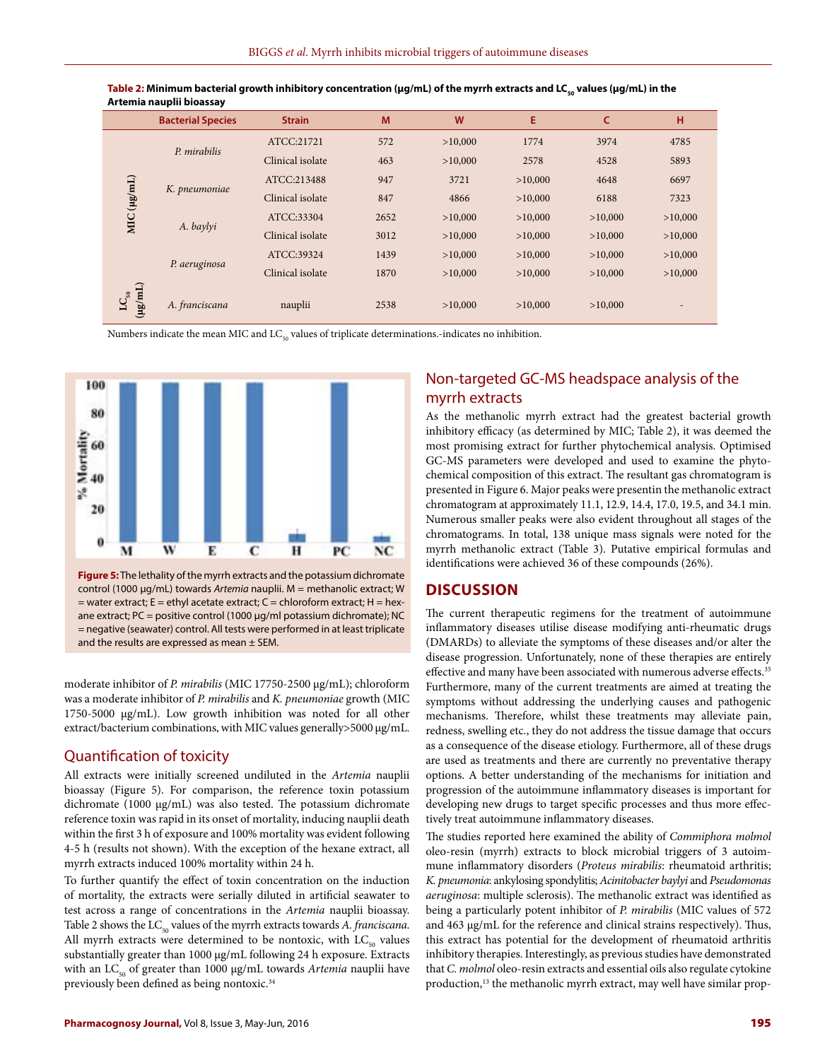|                              | <b>Bacterial Species</b> | <b>Strain</b>    | M    | W       | E       | c       | н       |
|------------------------------|--------------------------|------------------|------|---------|---------|---------|---------|
|                              |                          | ATCC:21721       | 572  | >10,000 | 1774    | 3974    | 4785    |
|                              | P. mirabilis             | Clinical isolate | 463  | >10,000 | 2578    | 4528    | 5893    |
|                              |                          | ATCC:213488      | 947  | 3721    | >10,000 | 4648    | 6697    |
| MIC(ug/mL)                   | K. pneumoniae            | Clinical isolate | 847  | 4866    | >10,000 | 6188    | 7323    |
|                              |                          | ATCC:33304       | 2652 | >10,000 | >10,000 | >10,000 | >10,000 |
|                              | A. baylyi                | Clinical isolate | 3012 | >10,000 | >10,000 | >10,000 | >10,000 |
|                              | P. aeruginosa            | ATCC:39324       | 1439 | >10,000 | >10,000 | >10,000 | >10,000 |
|                              |                          | Clinical isolate | 1870 | >10,000 | >10,000 | >10,000 | >10,000 |
| $(\text{m/gu})$<br>$LC_{50}$ | A. franciscana           | nauplii          | 2538 | >10,000 | >10,000 | >10,000 |         |

Table 2: Minimum bacterial growth inhibitory concentration (µg/mL) of the myrrh extracts and LC<sub>50</sub> values (µg/mL) in the **Artemia nauplii bioassay**

Numbers indicate the mean MIC and LC<sub>50</sub> values of triplicate determinations.-indicates no inhibition.



= water extract; E = ethyl acetate extract; C = chloroform extract; H = hexane extract; PC = positive control (1000 µg/ml potassium dichromate); NC = negative (seawater) control. All tests were performed in at least triplicate and the results are expressed as mean  $\pm$  SEM.

moderate inhibitor of *P. mirabilis* (MIC 17750-2500 µg/mL); chloroform was a moderate inhibitor of *P. mirabilis* and *K. pneumoniae* growth (MIC 1750-5000 µg/mL). Low growth inhibition was noted for all other extract/bacterium combinations, with MIC values generally>5000 µg/mL.

#### Quantification of toxicity

All extracts were initially screened undiluted in the *Artemia* nauplii bioassay (Figure 5). For comparison, the reference toxin potassium dichromate (1000 µg/mL) was also tested. The potassium dichromate reference toxin was rapid in its onset of mortality, inducing nauplii death within the first 3 h of exposure and 100% mortality was evident following 4-5 h (results not shown). With the exception of the hexane extract, all myrrh extracts induced 100% mortality within 24 h.

To further quantify the effect of toxin concentration on the induction of mortality, the extracts were serially diluted in artificial seawater to test across a range of concentrations in the *Artemia* nauplii bioassay. Table 2 shows the LC<sub>50</sub> values of the myrrh extracts towards *A. franciscana*. All myrrh extracts were determined to be nontoxic, with  $LC_{50}$  values substantially greater than 1000 µg/mL following 24 h exposure. Extracts with an LC<sub>50</sub> of greater than 1000 μg/mL towards *Artemia* nauplii have previously been defined as being nontoxic.<sup>34</sup>

# Non-targeted GC-MS headspace analysis of the myrrh extracts

As the methanolic myrrh extract had the greatest bacterial growth inhibitory efficacy (as determined by MIC; Table 2), it was deemed the most promising extract for further phytochemical analysis. Optimised GC-MS parameters were developed and used to examine the phytochemical composition of this extract. The resultant gas chromatogram is presented in Figure 6. Major peaks were presentin the methanolic extract chromatogram at approximately 11.1, 12.9, 14.4, 17.0, 19.5, and 34.1 min. Numerous smaller peaks were also evident throughout all stages of the chromatograms. In total, 138 unique mass signals were noted for the myrrh methanolic extract (Table 3). Putative empirical formulas and identifications were achieved 36 of these compounds (26%).

#### **DISCUSSION**

The current therapeutic regimens for the treatment of autoimmune inflammatory diseases utilise disease modifying anti-rheumatic drugs (DMARDs) to alleviate the symptoms of these diseases and/or alter the disease progression. Unfortunately, none of these therapies are entirely effective and many have been associated with numerous adverse effects.<sup>35</sup> Furthermore, many of the current treatments are aimed at treating the symptoms without addressing the underlying causes and pathogenic mechanisms. Therefore, whilst these treatments may alleviate pain, redness, swelling etc., they do not address the tissue damage that occurs as a consequence of the disease etiology. Furthermore, all of these drugs are used as treatments and there are currently no preventative therapy options. A better understanding of the mechanisms for initiation and progression of the autoimmune inflammatory diseases is important for developing new drugs to target specific processes and thus more effectively treat autoimmune inflammatory diseases.

The studies reported here examined the ability of *Commiphora molmol* oleo-resin (myrrh) extracts to block microbial triggers of 3 autoimmune inflammatory disorders (*Proteus mirabilis*: rheumatoid arthritis; *K. pneumonia*: ankylosing spondylitis; *Acinitobacter baylyi* and *Pseudomonas aeruginosa*: multiple sclerosis). The methanolic extract was identified as being a particularly potent inhibitor of *P. mirabilis* (MIC values of 572 and 463 µg/mL for the reference and clinical strains respectively). Thus, this extract has potential for the development of rheumatoid arthritis inhibitory therapies. Interestingly, as previous studies have demonstrated that *C. molmol* oleo-resin extracts and essential oils also regulate cytokine production,<sup>13</sup> the methanolic myrrh extract, may well have similar prop-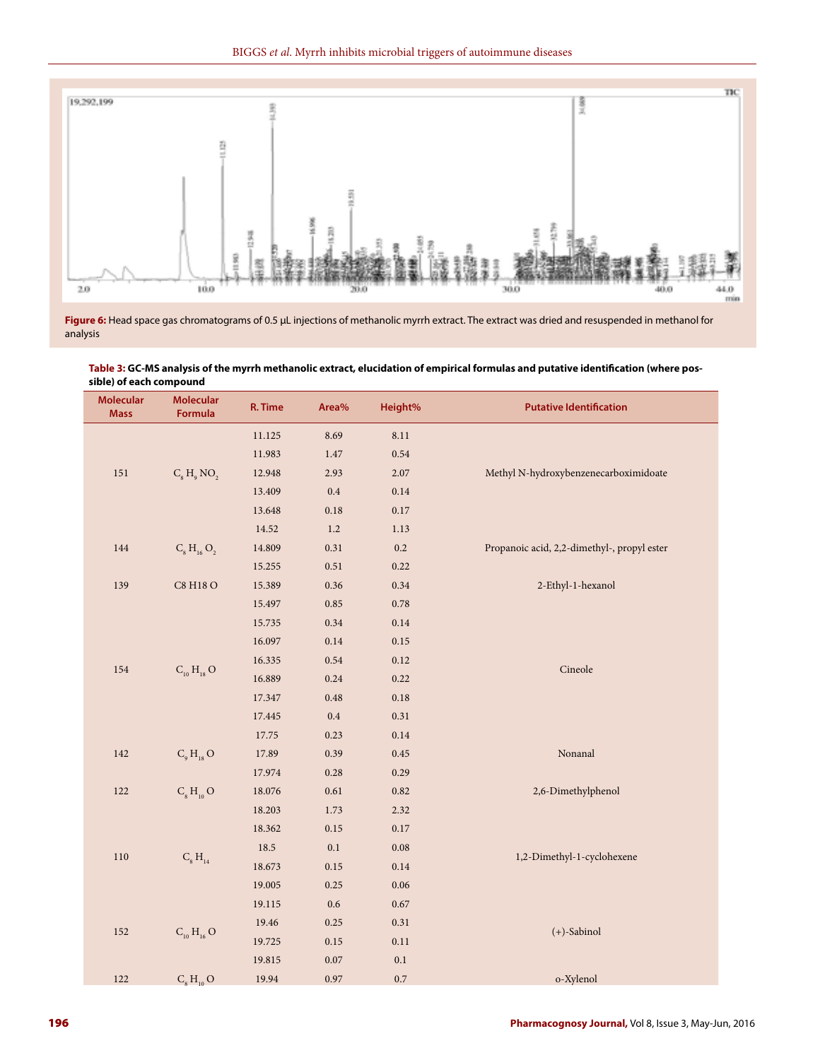

**Figure 6:** Head space gas chromatograms of 0.5 μL injections of methanolic myrrh extract. The extract was dried and resuspended in methanol for analysis

**Table 3: GC-MS analysis of the myrrh methanolic extract, elucidation of empirical formulas and putative identification (where pos-**

| sible) of each compound         |                             |         |            |          |                                             |  |  |  |
|---------------------------------|-----------------------------|---------|------------|----------|---------------------------------------------|--|--|--|
| <b>Molecular</b><br><b>Mass</b> | <b>Molecular</b><br>Formula | R. Time | Area%      | Height%  | <b>Putative Identification</b>              |  |  |  |
|                                 |                             | 11.125  | 8.69       | 8.11     |                                             |  |  |  |
|                                 |                             | 11.983  | $1.47\,$   | 0.54     |                                             |  |  |  |
| $151\,$                         | $C_8 H_9 NO_2$              | 12.948  | 2.93       | 2.07     | Methyl N-hydroxybenzenecarboximidoate       |  |  |  |
|                                 |                             | 13.409  | $0.4\,$    | $0.14\,$ |                                             |  |  |  |
|                                 |                             | 13.648  | $0.18\,$   | $0.17\,$ |                                             |  |  |  |
|                                 |                             | 14.52   | 1.2        | $1.13\,$ |                                             |  |  |  |
| 144                             | $C_8 H_{16} O_2$            | 14.809  | 0.31       | $0.2\,$  | Propanoic acid, 2,2-dimethyl-, propyl ester |  |  |  |
|                                 |                             | 15.255  | 0.51       | 0.22     |                                             |  |  |  |
| 139                             | C8 H18 O                    | 15.389  | 0.36       | 0.34     | 2-Ethyl-1-hexanol                           |  |  |  |
|                                 |                             | 15.497  | $\rm 0.85$ | $0.78\,$ |                                             |  |  |  |
|                                 |                             | 15.735  | $0.34\,$   | $0.14\,$ |                                             |  |  |  |
|                                 | $C_{10}H_{18}O$             | 16.097  | $0.14\,$   | $0.15\,$ |                                             |  |  |  |
|                                 |                             | 16.335  | $0.54\,$   | $0.12\,$ |                                             |  |  |  |
| 154                             |                             | 16.889  | $0.24\,$   | 0.22     | $\rm Cineole$                               |  |  |  |
|                                 |                             | 17.347  | $\rm 0.48$ | $0.18\,$ |                                             |  |  |  |
|                                 |                             | 17.445  | $\rm 0.4$  | 0.31     |                                             |  |  |  |
|                                 |                             | 17.75   | 0.23       | $0.14\,$ |                                             |  |  |  |
| $142\,$                         | $C9 H18$ O                  | 17.89   | 0.39       | $0.45\,$ | Nonanal                                     |  |  |  |
|                                 |                             | 17.974  | 0.28       | 0.29     |                                             |  |  |  |
| 122                             | $C_{8}H_{10}O$              | 18.076  | $0.61\,$   | $0.82\,$ | 2,6-Dimethylphenol                          |  |  |  |
|                                 |                             | 18.203  | 1.73       | 2.32     |                                             |  |  |  |
|                                 |                             | 18.362  | $0.15\,$   | $0.17\,$ |                                             |  |  |  |
|                                 |                             | 18.5    | $0.1\,$    | $0.08\,$ |                                             |  |  |  |
| $110\,$                         | $C_{8} H_{14}$              | 18.673  | $0.15\,$   | $0.14\,$ | 1,2-Dimethyl-1-cyclohexene                  |  |  |  |
|                                 |                             | 19.005  | 0.25       | $0.06\,$ |                                             |  |  |  |
|                                 |                             | 19.115  | $0.6\,$    | $0.67\,$ |                                             |  |  |  |
|                                 |                             | 19.46   | 0.25       | 0.31     |                                             |  |  |  |
| 152                             | $C_{10} H_{16} O$           | 19.725  | 0.15       | $0.11\,$ | $(+)$ -Sabinol                              |  |  |  |
|                                 |                             | 19.815  | $0.07\,$   | 0.1      |                                             |  |  |  |
| $122\,$                         | $C_{8}H_{10}O$              | 19.94   | 0.97       | 0.7      | o-Xylenol                                   |  |  |  |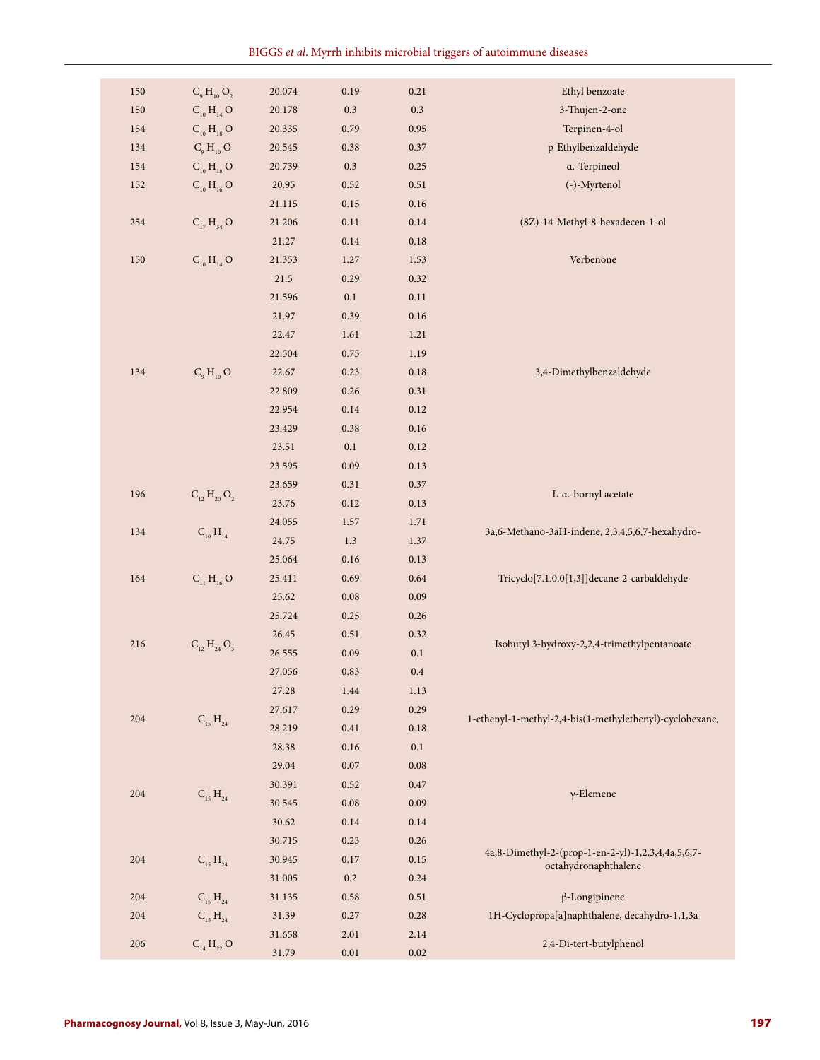| $150\,$ | $C_9 H_{10} O_2$    | $20.074\,$ | 0.19       | $0.21\,$ | Ethyl benzoate                                           |
|---------|---------------------|------------|------------|----------|----------------------------------------------------------|
| $150\,$ | $C_{10} H_{14} O$   | $20.178\,$ | $0.3\,$    | $0.3\,$  | 3-Thujen-2-one                                           |
| 154     | $C_{10} H_{18} O$   | 20.335     | 0.79       | 0.95     | Terpinen-4-ol                                            |
| 134     | $C_9H_{10}O$        | 20.545     | $0.38\,$   | 0.37     | p-Ethylbenzaldehyde                                      |
| 154     | $C_{10} H_{18} O$   | 20.739     | 0.3        | 0.25     | a.-Terpineol                                             |
| $152\,$ | $C_{10} H_{16} O$   | 20.95      | 0.52       | $0.51\,$ | (-)-Myrtenol                                             |
|         |                     | 21.115     | $0.15\,$   | $0.16\,$ |                                                          |
| 254     | $C_{17} H_{34} O$   | 21.206     | $0.11\,$   | $0.14\,$ | (8Z)-14-Methyl-8-hexadecen-1-ol                          |
|         |                     | $21.27\,$  | $0.14\,$   | $0.18\,$ |                                                          |
| 150     | $C_{10}H_{14}O$     | 21.353     | $1.27\,$   | 1.53     | Verbenone                                                |
|         |                     | 21.5       | 0.29       | 0.32     |                                                          |
|         |                     | 21.596     | $0.1\,$    | $0.11\,$ |                                                          |
|         |                     |            |            |          |                                                          |
|         |                     | 21.97      | 0.39       | $0.16\,$ |                                                          |
|         |                     | 22.47      | 1.61       | 1.21     |                                                          |
|         |                     | 22.504     | 0.75       | 1.19     |                                                          |
| 134     | $C_9H_{10}O$        | 22.67      | 0.23       | $0.18\,$ | 3,4-Dimethylbenzaldehyde                                 |
|         |                     | 22.809     | $0.26\,$   | 0.31     |                                                          |
|         |                     | 22.954     | $0.14\,$   | 0.12     |                                                          |
|         |                     | 23.429     | 0.38       | $0.16\,$ |                                                          |
|         |                     | 23.51      | $0.1\,$    | $0.12\,$ |                                                          |
|         |                     | 23.595     | $0.09\,$   | $0.13\,$ |                                                          |
| 196     | $C_{12} H_{20} O_2$ | 23.659     | 0.31       | 0.37     | L-a.-bornyl acetate                                      |
|         |                     | 23.76      | 0.12       | 0.13     |                                                          |
| 134     | $C_{10} H_{14}$     | 24.055     | $1.57\,$   | 1.71     | 3a,6-Methano-3aH-indene, 2,3,4,5,6,7-hexahydro-          |
|         |                     | 24.75      | $1.3\,$    | 1.37     |                                                          |
|         |                     | 25.064     | $0.16\,$   | $0.13\,$ |                                                          |
| $164\,$ | $C_{11}H_{16}O$     | 25.411     | 0.69       | $0.64\,$ | Tricyclo[7.1.0.0[1,3]]decane-2-carbaldehyde              |
|         |                     | 25.62      | $0.08\,$   | $0.09\,$ |                                                          |
|         |                     | 25.724     | 0.25       | $0.26\,$ |                                                          |
|         |                     | 26.45      | $0.51\,$   | 0.32     |                                                          |
| 216     | $C_{12} H_{24} O_3$ | 26.555     | $0.09\,$   | $0.1\,$  | Isobutyl 3-hydroxy-2,2,4-trimethylpentanoate             |
|         |                     | 27.056     | 0.83       | $0.4\,$  |                                                          |
|         |                     | 27.28      | 1.44       | 1.13     |                                                          |
|         |                     | 27.617     | 0.29       | 0.29     |                                                          |
| 204     | $C_{15} H_{24}$     | 28.219     | $0.41\,$   | $0.18\,$ | 1-ethenyl-1-methyl-2,4-bis(1-methylethenyl)-cyclohexane, |
|         |                     | 28.38      | $0.16\,$   | $0.1\,$  |                                                          |
|         |                     | 29.04      | $0.07\,$   | $0.08\,$ |                                                          |
|         |                     | 30.391     | 0.52       | $0.47\,$ |                                                          |
| 204     | $C_{15} H_{24}$     | 30.545     | $\rm 0.08$ | 0.09     | $\gamma$ -Elemene                                        |
|         |                     | 30.62      | $0.14\,$   | 0.14     |                                                          |
|         |                     | 30.715     | 0.23       | 0.26     |                                                          |
| 204     |                     | 30.945     | $0.17\,$   | 0.15     | 4a,8-Dimethyl-2-(prop-1-en-2-yl)-1,2,3,4,4a,5,6,7-       |
|         | $C_{15} H_{24}$     |            |            |          | octahydronaphthalene                                     |
|         |                     | 31.005     | 0.2        | 0.24     |                                                          |
| 204     | $C_{15} H_{24}$     | 31.135     | 0.58       | 0.51     | $\beta$ -Longipinene                                     |
| 204     | $C_{15} H_{24}$     | 31.39      | 0.27       | 0.28     | 1H-Cyclopropa[a]naphthalene, decahydro-1,1,3a            |
| 206     | $C_{14} H_{22} O$   | 31.658     | 2.01       | 2.14     | 2,4-Di-tert-butylphenol                                  |
|         |                     | 31.79      | $0.01\,$   | $0.02\,$ |                                                          |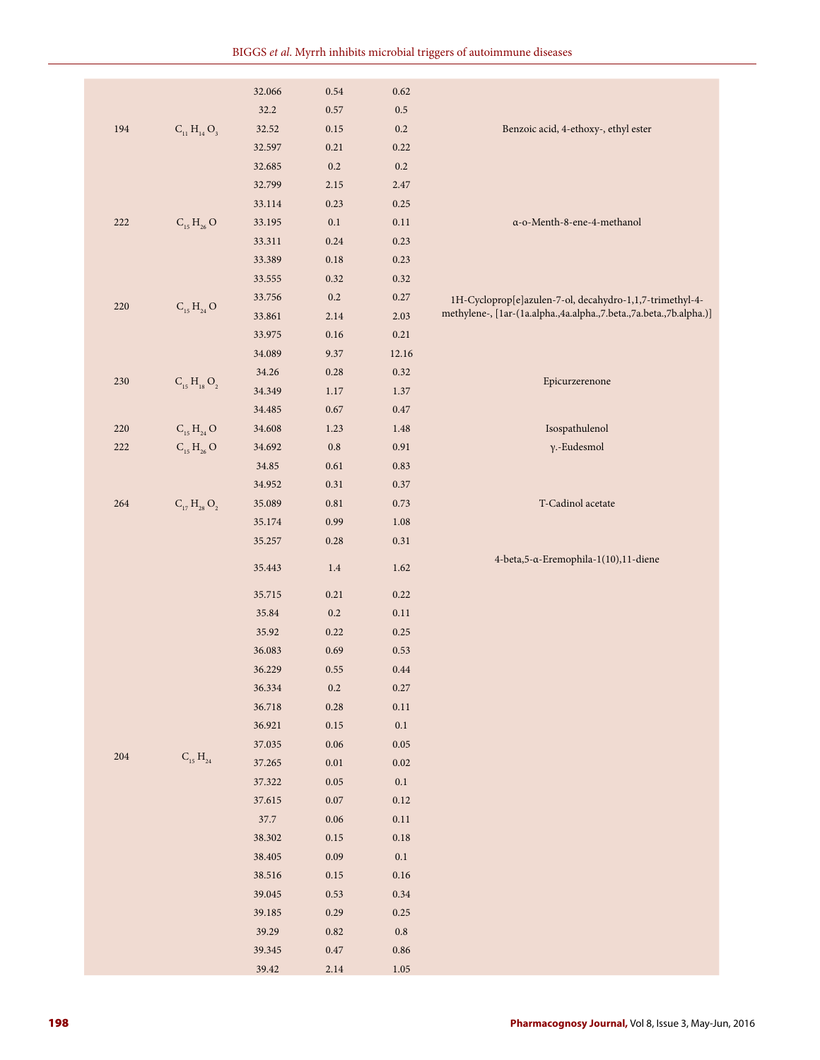|         |                                           | 32.066 | 0.54      | 0.62       |                                                                    |
|---------|-------------------------------------------|--------|-----------|------------|--------------------------------------------------------------------|
|         |                                           | 32.2   | 0.57      | $0.5\,$    |                                                                    |
| 194     | $C_{11} H_{14} O_3$                       | 32.52  | 0.15      | $0.2\,$    | Benzoic acid, 4-ethoxy-, ethyl ester                               |
|         |                                           | 32.597 | 0.21      | 0.22       |                                                                    |
|         |                                           | 32.685 | $0.2\,$   | $0.2\,$    |                                                                    |
|         |                                           | 32.799 | 2.15      | 2.47       |                                                                    |
|         |                                           | 33.114 | 0.23      | 0.25       |                                                                    |
| 222     | $C_{15} H_{26} O$                         | 33.195 | $0.1\,$   | $0.11\,$   | a-o-Menth-8-ene-4-methanol                                         |
|         |                                           | 33.311 | 0.24      | 0.23       |                                                                    |
|         |                                           | 33.389 | 0.18      | 0.23       |                                                                    |
|         |                                           | 33.555 | 0.32      | 0.32       |                                                                    |
|         |                                           | 33.756 | $0.2\,$   | 0.27       | 1H-Cycloprop[e]azulen-7-ol, decahydro-1,1,7-trimethyl-4-           |
| 220     | $C_{15} H_{24} O$                         | 33.861 | 2.14      | 2.03       | methylene-, [1ar-(1a.alpha.,4a.alpha.,7.beta.,7a.beta.,7b.alpha.)] |
|         |                                           | 33.975 | 0.16      | 0.21       |                                                                    |
|         |                                           | 34.089 | 9.37      | 12.16      |                                                                    |
|         |                                           | 34.26  | 0.28      | 0.32       |                                                                    |
| 230     | $C_{15} H_{18} O_2$                       | 34.349 | 1.17      | 1.37       | Epicurzerenone                                                     |
|         |                                           | 34.485 | 0.67      | $0.47\,$   |                                                                    |
| 220     | $C_{15} H_{24} O$                         | 34.608 | 1.23      | 1.48       | Isospathulenol                                                     |
| 222     | $C_{15} H_{26} O$                         | 34.692 | $\rm 0.8$ | 0.91       | γ.-Eudesmol                                                        |
|         |                                           | 34.85  | 0.61      | 0.83       |                                                                    |
|         |                                           | 34.952 | 0.31      | $0.37\,$   |                                                                    |
| 264     | $C_{17} H_{28} O_2$                       | 35.089 | 0.81      | 0.73       | T-Cadinol acetate                                                  |
|         |                                           | 35.174 | 0.99      | 1.08       |                                                                    |
|         |                                           | 35.257 | 0.28      | 0.31       |                                                                    |
|         |                                           | 35.443 | 1.4       | 1.62       | 4-beta, 5-α-Eremophila-1(10), 11-diene                             |
|         |                                           |        |           |            |                                                                    |
|         |                                           | 35.715 | 0.21      | 0.22       |                                                                    |
|         |                                           | 35.84  | $0.2\,$   | $0.11\,$   |                                                                    |
|         |                                           | 35.92  | 0.22      | 0.25       |                                                                    |
|         |                                           | 36.083 | 0.69      | 0.53       |                                                                    |
|         |                                           | 36.229 | 0.55      | $0.44\,$   |                                                                    |
|         |                                           | 36.334 | $\rm 0.2$ | 0.27       |                                                                    |
|         |                                           | 36.718 | 0.28      | 0.11       |                                                                    |
|         |                                           | 36.921 | 0.15      | $0.1\,$    |                                                                    |
|         |                                           | 37.035 | 0.06      | $0.05\,$   |                                                                    |
| $204\,$ | $\mathrm{C}_{_{15}}$ $\mathrm{H}_{_{24}}$ | 37.265 | $0.01\,$  | $0.02\,$   |                                                                    |
|         |                                           | 37.322 | 0.05      | $0.1\,$    |                                                                    |
|         |                                           | 37.615 | $0.07\,$  | 0.12       |                                                                    |
|         |                                           | 37.7   | 0.06      | 0.11       |                                                                    |
|         |                                           | 38.302 | 0.15      | $0.18\,$   |                                                                    |
|         |                                           | 38.405 | 0.09      | 0.1        |                                                                    |
|         |                                           | 38.516 | 0.15      | 0.16       |                                                                    |
|         |                                           | 39.045 | 0.53      | 0.34       |                                                                    |
|         |                                           | 39.185 | 0.29      | 0.25       |                                                                    |
|         |                                           | 39.29  | 0.82      | $\rm 0.8$  |                                                                    |
|         |                                           | 39.345 | $0.47\,$  | $\,0.86\,$ |                                                                    |
|         |                                           | 39.42  | 2.14      | 1.05       |                                                                    |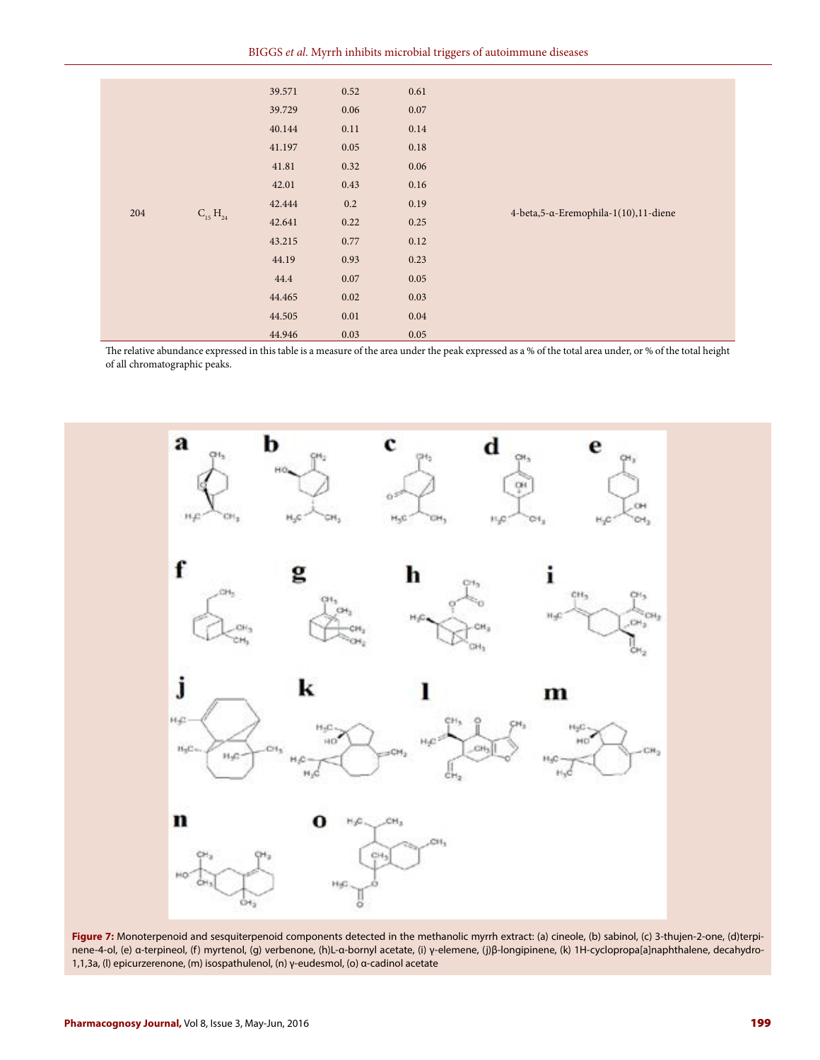|     |                 | 39.571 | 0.52 | 0.61 |                                        |
|-----|-----------------|--------|------|------|----------------------------------------|
|     |                 | 39.729 | 0.06 | 0.07 |                                        |
|     |                 | 40.144 | 0.11 | 0.14 |                                        |
|     |                 | 41.197 | 0.05 | 0.18 |                                        |
|     |                 | 41.81  | 0.32 | 0.06 |                                        |
|     |                 | 42.01  | 0.43 | 0.16 |                                        |
| 204 |                 | 42.444 | 0.2  | 0.19 | 4-beta, 5-α-Eremophila-1(10), 11-diene |
|     | $C_{15} H_{24}$ | 42.641 | 0.22 | 0.25 |                                        |
|     |                 | 43.215 | 0.77 | 0.12 |                                        |
|     |                 | 44.19  | 0.93 | 0.23 |                                        |
|     |                 | 44.4   | 0.07 | 0.05 |                                        |
|     |                 | 44.465 | 0.02 | 0.03 |                                        |
|     |                 | 44.505 | 0.01 | 0.04 |                                        |
|     |                 | 44.946 | 0.03 | 0.05 |                                        |

The relative abundance expressed in this table is a measure of the area under the peak expressed as a % of the total area under, or % of the total height of all chromatographic peaks.



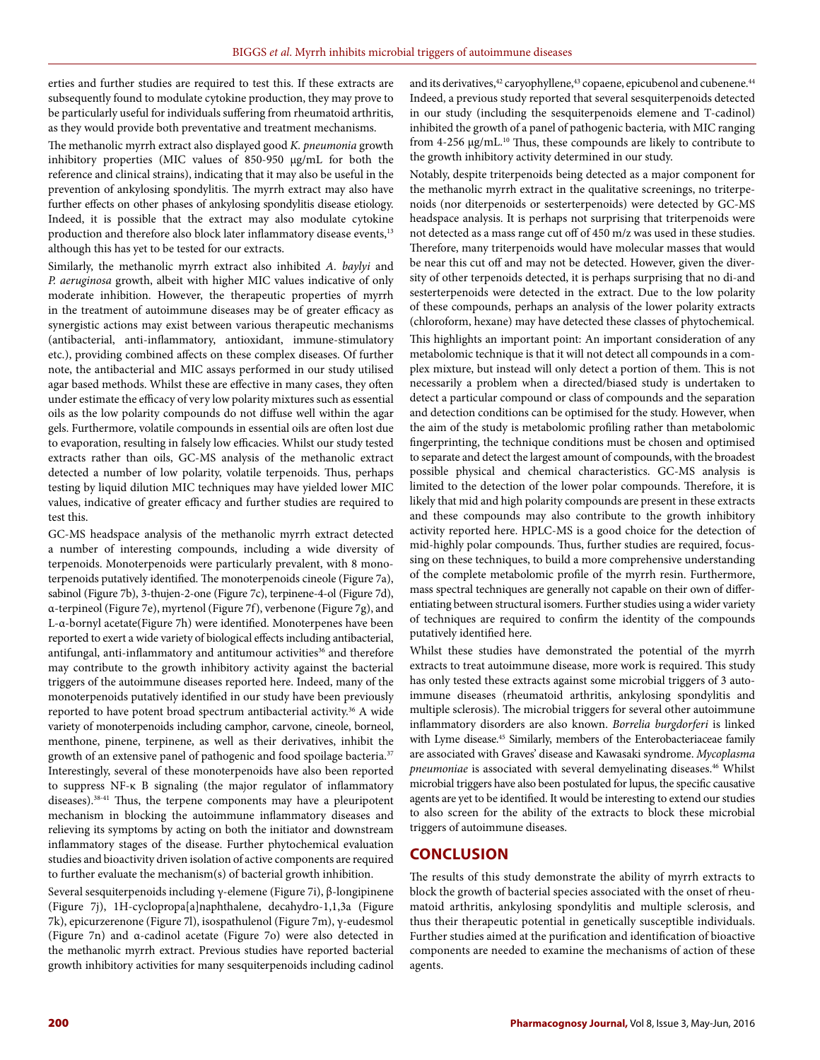erties and further studies are required to test this. If these extracts are subsequently found to modulate cytokine production, they may prove to be particularly useful for individuals suffering from rheumatoid arthritis, as they would provide both preventative and treatment mechanisms.

The methanolic myrrh extract also displayed good *K. pneumonia* growth inhibitory properties (MIC values of 850-950 µg/mL for both the reference and clinical strains), indicating that it may also be useful in the prevention of ankylosing spondylitis. The myrrh extract may also have further effects on other phases of ankylosing spondylitis disease etiology. Indeed, it is possible that the extract may also modulate cytokine production and therefore also block later inflammatory disease events,<sup>13</sup> although this has yet to be tested for our extracts.

Similarly, the methanolic myrrh extract also inhibited *A. baylyi* and *P. aeruginosa* growth, albeit with higher MIC values indicative of only moderate inhibition. However, the therapeutic properties of myrrh in the treatment of autoimmune diseases may be of greater efficacy as synergistic actions may exist between various therapeutic mechanisms (antibacterial, anti-inflammatory, antioxidant, immune-stimulatory etc.), providing combined affects on these complex diseases. Of further note, the antibacterial and MIC assays performed in our study utilised agar based methods. Whilst these are effective in many cases, they often under estimate the efficacy of very low polarity mixtures such as essential oils as the low polarity compounds do not diffuse well within the agar gels. Furthermore, volatile compounds in essential oils are often lost due to evaporation, resulting in falsely low efficacies. Whilst our study tested extracts rather than oils, GC-MS analysis of the methanolic extract detected a number of low polarity, volatile terpenoids. Thus, perhaps testing by liquid dilution MIC techniques may have yielded lower MIC values, indicative of greater efficacy and further studies are required to test this.

GC-MS headspace analysis of the methanolic myrrh extract detected a number of interesting compounds, including a wide diversity of terpenoids. Monoterpenoids were particularly prevalent, with 8 monoterpenoids putatively identified. The monoterpenoids cineole (Figure 7a), sabinol (Figure 7b), 3-thujen-2-one (Figure 7c), terpinene-4-ol (Figure 7d), α-terpineol (Figure 7e), myrtenol (Figure 7f), verbenone (Figure 7g), and L-α-bornyl acetate(Figure 7h) were identified. Monoterpenes have been reported to exert a wide variety of biological effects including antibacterial, antifungal, anti-inflammatory and antitumour activities<sup>36</sup> and therefore may contribute to the growth inhibitory activity against the bacterial triggers of the autoimmune diseases reported here. Indeed, many of the monoterpenoids putatively identified in our study have been previously reported to have potent broad spectrum antibacterial activity.<sup>36</sup> A wide variety of monoterpenoids including camphor, carvone, cineole, borneol, menthone, pinene, terpinene, as well as their derivatives, inhibit the growth of an extensive panel of pathogenic and food spoilage bacteria.<sup>37</sup> Interestingly, several of these monoterpenoids have also been reported to suppress NF-κ B signaling (the major regulator of inflammatory diseases).38-41 Thus, the terpene components may have a pleuripotent mechanism in blocking the autoimmune inflammatory diseases and relieving its symptoms by acting on both the initiator and downstream inflammatory stages of the disease. Further phytochemical evaluation studies and bioactivity driven isolation of active components are required to further evaluate the mechanism(s) of bacterial growth inhibition.

Several sesquiterpenoids including γ-elemene (Figure 7i), β-longipinene (Figure 7j), 1H-cyclopropa[a]naphthalene, decahydro-1,1,3a (Figure 7k), epicurzerenone (Figure 7l), isospathulenol (Figure 7m), γ-eudesmol (Figure 7n) and α-cadinol acetate (Figure 7o) were also detected in the methanolic myrrh extract. Previous studies have reported bacterial growth inhibitory activities for many sesquiterpenoids including cadinol and its derivatives,<sup>42</sup> caryophyllene,<sup>43</sup> copaene, epicubenol and cubenene.<sup>44</sup> Indeed, a previous study reported that several sesquiterpenoids detected in our study (including the sesquiterpenoids elemene and T-cadinol) inhibited the growth of a panel of pathogenic bacteria*,* with MIC ranging from 4-256 µg/mL.<sup>10</sup> Thus, these compounds are likely to contribute to the growth inhibitory activity determined in our study.

Notably, despite triterpenoids being detected as a major component for the methanolic myrrh extract in the qualitative screenings, no triterpenoids (nor diterpenoids or sesterterpenoids) were detected by GC-MS headspace analysis. It is perhaps not surprising that triterpenoids were not detected as a mass range cut off of 450 m/z was used in these studies. Therefore, many triterpenoids would have molecular masses that would be near this cut off and may not be detected. However, given the diversity of other terpenoids detected, it is perhaps surprising that no di-and sesterterpenoids were detected in the extract. Due to the low polarity of these compounds, perhaps an analysis of the lower polarity extracts (chloroform, hexane) may have detected these classes of phytochemical.

This highlights an important point: An important consideration of any metabolomic technique is that it will not detect all compounds in a complex mixture, but instead will only detect a portion of them. This is not necessarily a problem when a directed/biased study is undertaken to detect a particular compound or class of compounds and the separation and detection conditions can be optimised for the study. However, when the aim of the study is metabolomic profiling rather than metabolomic fingerprinting, the technique conditions must be chosen and optimised to separate and detect the largest amount of compounds, with the broadest possible physical and chemical characteristics. GC-MS analysis is limited to the detection of the lower polar compounds. Therefore, it is likely that mid and high polarity compounds are present in these extracts and these compounds may also contribute to the growth inhibitory activity reported here. HPLC-MS is a good choice for the detection of mid-highly polar compounds. Thus, further studies are required, focussing on these techniques, to build a more comprehensive understanding of the complete metabolomic profile of the myrrh resin. Furthermore, mass spectral techniques are generally not capable on their own of differentiating between structural isomers. Further studies using a wider variety of techniques are required to confirm the identity of the compounds putatively identified here.

Whilst these studies have demonstrated the potential of the myrrh extracts to treat autoimmune disease, more work is required. This study has only tested these extracts against some microbial triggers of 3 autoimmune diseases (rheumatoid arthritis, ankylosing spondylitis and multiple sclerosis). The microbial triggers for several other autoimmune inflammatory disorders are also known. *Borrelia burgdorferi* is linked with Lyme disease.<sup>45</sup> Similarly, members of the Enterobacteriaceae family are associated with Graves' disease and Kawasaki syndrome. *Mycoplasma pneumoniae* is associated with several demyelinating diseases.46 Whilst microbial triggers have also been postulated for lupus, the specific causative agents are yet to be identified. It would be interesting to extend our studies to also screen for the ability of the extracts to block these microbial triggers of autoimmune diseases.

#### **CONCLUSION**

The results of this study demonstrate the ability of myrrh extracts to block the growth of bacterial species associated with the onset of rheumatoid arthritis, ankylosing spondylitis and multiple sclerosis, and thus their therapeutic potential in genetically susceptible individuals. Further studies aimed at the purification and identification of bioactive components are needed to examine the mechanisms of action of these agents.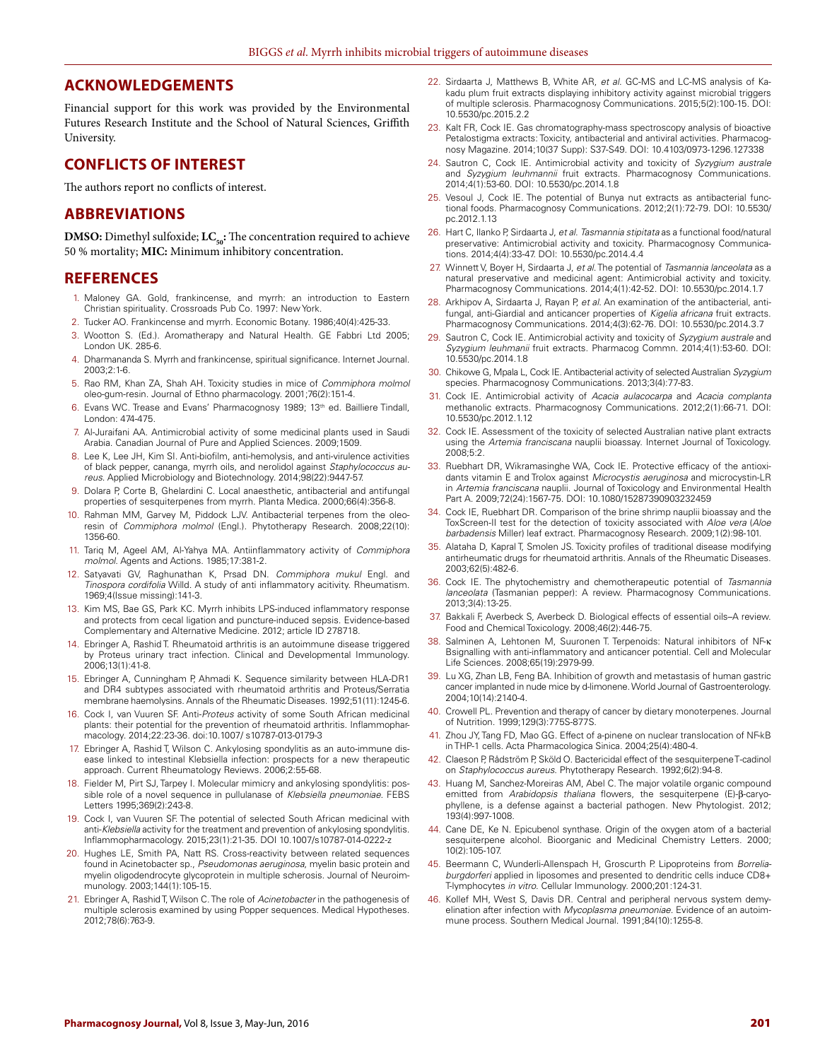#### **ACKNOWLEDGEMENTS**

Financial support for this work was provided by the Environmental Futures Research Institute and the School of Natural Sciences, Griffith University.

## **CONFLICTS OF INTEREST**

The authors report no conflicts of interest.

#### **ABBREVIATIONS**

**DMSO:** Dimethyl sulfoxide; **LC**<sub>50</sub>: The concentration required to achieve 50 % mortality; **MIC:** Minimum inhibitory concentration.

#### **REFERENCES**

- 1. Maloney GA. Gold, frankincense, and myrrh: an introduction to Eastern Christian spirituality*.* Crossroads Pub Co. 1997: New York.
- 2. Tucker AO. Frankincense and myrrh. Economic Botany. 1986;40(4):425-33.
- 3. Wootton S. (Ed.). Aromatherapy and Natural Health. GE Fabbri Ltd 2005; London UK. 285-6.
- 4. Dharmananda S. Myrrh and frankincense, spiritual significance. Internet Journal. 2003;2:1-6.
- 5. Rao RM, Khan ZA, Shah AH. Toxicity studies in mice of *Commiphora molmol* oleo-gum-resin. Journal of Ethno pharmacology. 2001;76(2):151-4.
- 6. Evans WC. Trease and Evans' Pharmacognosy 1989; 13<sup>th</sup> ed. Bailliere Tindall, London: 474-475.
- 7. Al-Juraifani AA. Antimicrobial activity of some medicinal plants used in Saudi Arabia. Canadian Journal of Pure and Applied Sciences. 2009;1509.
- 8. Lee K, Lee JH, Kim SI. Anti-biofilm, anti-hemolysis, and anti-virulence activities of black pepper, cananga, myrrh oils, and nerolidol against *Staphylococcus aureus*. Applied Microbiology and Biotechnology. 2014;98(22):9447-57.
- 9. Dolara P, Corte B, Ghelardini C. Local anaesthetic, antibacterial and antifungal properties of sesquiterpenes from myrrh. Planta Medica. 2000;66(4):356-8.
- 10. Rahman MM, Garvey M, Piddock LJV. Antibacterial terpenes from the oleoresin of *Commiphora molmol* (Engl.). Phytotherapy Research. 2008;22(10): 1356-60.
- 11. Tariq M, Ageel AM, Al-Yahya MA. Antiinflammatory activity of *Commiphora molmol*. Agents and Actions. 1985;17:381-2.
- 12. Satyavati GV, Raghunathan K, Prsad DN. *Commiphora mukul* Engl. and *Tinospora cordifolia* Willd. A study of anti inflammatory acitivity. Rheumatism. 1969;4(Issue missing):141-3.
- 13. Kim MS, Bae GS, Park KC. Myrrh inhibits LPS-induced inflammatory response and protects from cecal ligation and puncture-induced sepsis. Evidence-based Complementary and Alternative Medicine. 2012; article ID 278718.
- 14. Ebringer A, Rashid T. Rheumatoid arthritis is an autoimmune disease triggered by Proteus urinary tract infection. Clinical and Developmental Immunology. 2006;13(1):41-8.
- 15. Ebringer A, Cunningham P, Ahmadi K. Sequence similarity between HLA-DR1 and DR4 subtypes associated with rheumatoid arthritis and Proteus/Serratia membrane haemolysins. Annals of the Rheumatic Diseases. 1992;51(11):1245-6.
- 16. Cock I, van Vuuren SF. Anti-*Proteus* activity of some South African medicinal plants: their potential for the prevention of rheumatoid arthritis. Inflammopharmacology. 2014;22:23-36. doi:10.1007/ s10787-013-0179-3
- 17. Ebringer A, Rashid T, Wilson C. Ankylosing spondylitis as an auto-immune disease linked to intestinal Klebsiella infection: prospects for a new therapeutic approach. Current Rheumatology Reviews. 2006;2:55-68.
- 18. Fielder M, Pirt SJ, Tarpey I. Molecular mimicry and ankylosing spondylitis: possible role of a novel sequence in pullulanase of *Klebsiella pneumoniae*. FEBS Letters 1995;369(2):243-8.
- 19. Cock I, van Vuuren SF. The potential of selected South African medicinal with anti-*Klebsiella* activity for the treatment and prevention of ankylosing spondylitis. Inflammopharmacology. 2015;23(1):21-35. DOI 10.1007/s10787-014-0222-z
- 20. Hughes LE, Smith PA, Natt RS. Cross-reactivity between related sequences found in Acinetobacter sp., *Pseudomonas aeruginosa*, myelin basic protein and myelin oligodendrocyte glycoprotein in multiple scherosis. Journal of Neuroimmunology. 2003;144(1):105-15.
- 21. Ebringer A, Rashid T, Wilson C. The role of *Acinetobacter* in the pathogenesis of multiple sclerosis examined by using Popper sequences. Medical Hypotheses. 2012;78(6):763-9.
- 22. Sirdaarta J, Matthews B, White AR, *et al*. GC-MS and LC-MS analysis of Kakadu plum fruit extracts displaying inhibitory activity against microbial triggers of multiple sclerosis. Pharmacognosy Communications. 2015;5(2):100-15. DOI: 10.5530/pc.2015.2.2
- 23. Kalt FR, Cock IE. Gas chromatography-mass spectroscopy analysis of bioactive Petalostigma extracts: Toxicity, antibacterial and antiviral activities. Pharmacognosy Magazine. 2014;10(37 Supp): S37-S49. DOI: 10.4103/0973-1296.127338
- 24. Sautron C, Cock IE. Antimicrobial activity and toxicity of *Syzygium australe* and *Syzygium leuhmannii* fruit extracts. Pharmacognosy Communications. 2014;4(1):53-60. DOI: 10.5530/pc.2014.1.8
- 25. Vesoul J, Cock IE. The potential of Bunya nut extracts as antibacterial functional foods. Pharmacognosy Communications. 2012;2(1):72-79. DOI: 10.5530/ pc.2012.1.13
- 26. Hart C, Ilanko P, Sirdaarta J, *et al*. *Tasmannia stipitata* as a functional food/natural preservative: Antimicrobial activity and toxicity. Pharmacognosy Communications. 2014;4(4):33-47. DOI: 10.5530/pc.2014.4.4
- 27. Winnett V, Boyer H, Sirdaarta J, *et al*. The potential of *Tasmannia lanceolata* as a natural preservative and medicinal agent: Antimicrobial activity and toxicity. Pharmacognosy Communications. 2014;4(1):42-52. DOI: 10.5530/pc.2014.1.7
- 28. Arkhipov A, Sirdaarta J, Rayan P, *et al*. An examination of the antibacterial, antifungal, anti-Giardial and anticancer properties of *Kigelia africana* fruit extracts. Pharmacognosy Communications. 2014;4(3):62-76. DOI: 10.5530/pc.2014.3.7
- 29. Sautron C, Cock IE. Antimicrobial activity and toxicity of *Syzygium australe* and *Syzygium leuhmanii* fruit extracts. Pharmacog Commn. 2014;4(1):53-60. DOI: 10.5530/pc.2014.1.8
- 30. Chikowe G, Mpala L, Cock IE. Antibacterial activity of selected Australian *Syzygium* species. Pharmacognosy Communications. 2013;3(4):77-83.
- 31. Cock IE. Antimicrobial activity of *Acacia aulacocarpa* and *Acacia complanta* methanolic extracts. Pharmacognosy Communications. 2012;2(1):66-71. DOI: 10.5530/pc.2012.1.12
- 32. Cock IE. Assessment of the toxicity of selected Australian native plant extracts using the *Artemia franciscana* nauplii bioassay. Internet Journal of Toxicology. 2008;5:2.
- 33. Ruebhart DR, Wikramasinghe WA, Cock IE. Protective efficacy of the antioxidants vitamin E and Trolox against *Microcystis aeruginosa* and microcystin-LR in *Artemia franciscana* nauplii. Journal of Toxicology and Environmental Health Part A. 2009;72(24):1567-75. DOI: 10.1080/15287390903232459
- 34. Cock IE, Ruebhart DR. Comparison of the brine shrimp nauplii bioassay and the ToxScreen-II test for the detection of toxicity associated with *Aloe vera* (*Aloe barbadensis* Miller) leaf extract. Pharmacognosy Research. 2009;1(2):98-101.
- 35. Alataha D, Kapral T, Smolen JS. Toxicity profiles of traditional disease modifying antirheumatic drugs for rheumatoid arthritis. Annals of the Rheumatic Diseases. 2003;62(5):482-6.
- 36. Cock IE. The phytochemistry and chemotherapeutic potential of *Tasmannia lanceolata* (Tasmanian pepper): A review. Pharmacognosy Communications. 2013;3(4):13-25.
- 37. Bakkali F, Averbeck S, Averbeck D. Biological effects of essential oils–A review. Food and Chemical Toxicology. 2008;46(2):446-75.
- Salminen A, Lehtonen M, Suuronen T. Terpenoids: Natural inhibitors of ΝΕ-κ Bsignalling with anti-inflammatory and anticancer potential. Cell and Molecular Life Sciences. 2008;65(19):2979-99.
- 39. Lu XG, Zhan LB, Feng BA. Inhibition of growth and metastasis of human gastric cancer implanted in nude mice by d-limonene. World Journal of Gastroenterology. 2004;10(14):2140-4.
- 40. Crowell PL. Prevention and therapy of cancer by dietary monoterpenes. Journal of Nutrition. 1999;129(3):775S-877S.
- 41. Zhou JY, Tang FD, Mao GG. Effect of a-pinene on nuclear translocation of NF-kB in THP-1 cells. Acta Pharmacologica Sinica. 2004;25(4):480-4.
- 42. Claeson P, Rådström P, Sköld O. Bactericidal effect of the sesquiterpene T-cadinol on *Staphylococcus aureus*. Phytotherapy Research. 1992;6(2):94-8.
- 43. Huang M, Sanchez-Moreiras AM, Abel C. The major volatile organic compound emitted from *Arabidopsis thaliana* flowers, the sesquiterpene (E)‐β‐caryophyllene, is a defense against a bacterial pathogen. New Phytologist. 2012; 193(4):997-1008.
- 44. Cane DE, Ke N. Epicubenol synthase. Origin of the oxygen atom of a bacterial sesquiterpene alcohol. Bioorganic and Medicinal Chemistry Letters. 2000; 10(2):105-107.
- 45. Beermann C, Wunderli-Allenspach H, Groscurth P. Lipoproteins from *Borreliaburgdorferi* applied in liposomes and presented to dendritic cells induce CD8+ T-lymphocytes *in vitro*. Cellular Immunology. 2000;201:124-31.
- 46. Kollef MH, West S, Davis DR. Central and peripheral nervous system demyelination after infection with *Mycoplasma pneumoniae*. Evidence of an autoimmune process. Southern Medical Journal. 1991;84(10):1255-8.